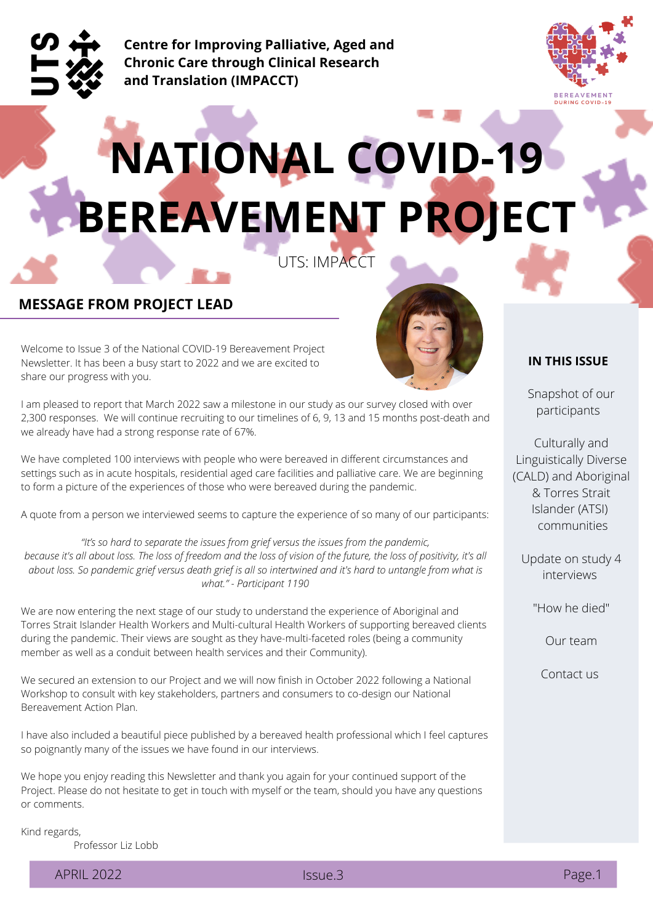

**Centre for Improving Palliative, Aged and Chronic Care through Clinical Research and Translation (IMPACCT)**



# **NATIONAL COVID-19 BEREAVEMENT PROJECT**

UTS: IMPACCT

#### **MESSAGE FROM PROJECT LEAD**

Welcome to Issue 3 of the National COVID-19 Bereavement Project Newsletter. It has been a busy start to 2022 and we are excited to share our progress with you.



I am pleased to report that March 2022 saw a milestone in our study as our survey closed with over 2,300 responses. We will continue recruiting to our timelines of 6, 9, 13 and 15 months post-death and we already have had a strong response rate of 67%.

We have completed 100 interviews with people who were bereaved in different circumstances and settings such as in acute hospitals, residential aged care facilities and palliative care. We are beginning to form a picture of the experiences of those who were bereaved during the pandemic.

A quote from a person we interviewed seems to capture the experience of so many of our participants:

*"It's so hard to separate the issues from grief versus the issues from the pandemic,* because it's all about loss. The loss of freedom and the loss of vision of the future, the loss of positivity, it's all about loss. So pandemic grief versus death grief is all so intertwined and it's hard to untangle from what is *what." - Participant 1190*

We are now entering the next stage of our study to understand the experience of Aboriginal and Torres Strait Islander Health Workers and Multi-cultural Health Workers of supporting bereaved clients during the pandemic. Their views are sought as they have-multi-faceted roles (being a community member as well as a conduit between health services and their Community).

We secured an extension to our Project and we will now finish in October 2022 following a National Workshop to consult with key stakeholders, partners and consumers to co-design our National Bereavement Action Plan.

I have also included a beautiful piece published by a bereaved health professional which I feel captures so poignantly many of the issues we have found in our interviews.

We hope you enjoy reading this Newsletter and thank you again for your continued support of the Project. Please do not hesitate to get in touch with myself or the team, should you have any questions or comments.

Kind regards,

Professor Liz Lobb

APRIL 2022 **ISSUE.3** 

**IN THIS ISSUE**

Snapshot of our participants

Culturally and Linguistically Diverse (CALD) and Aboriginal & Torres Strait Islander (ATSI) communities

Update on study 4 interviews

"How he died"

Our team

Contact us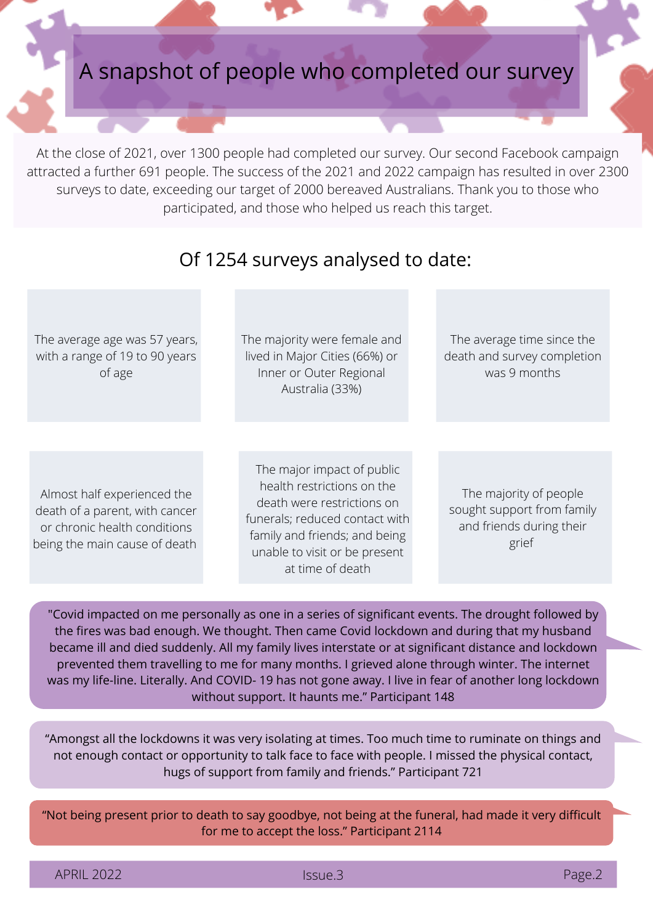

At the close of 2021, over 1300 people had completed our survey. Our second Facebook campaign attracted a further 691 people. The success of the 2021 and 2022 campaign has resulted in over 2300 surveys to date, exceeding our target of 2000 bereaved Australians. Thank you to those who participated, and those who helped us reach this target.

#### Of 1254 surveys analysed to date:

The average age was 57 years, with a range of 19 to 90 years of age

The majority were female and lived in Major Cities (66%) or Inner or Outer Regional Australia (33%)

The average time since the death and survey completion was 9 months

Almost half experienced the death of a parent, with cancer or chronic health conditions being the main cause of death

The major impact of public health restrictions on the death were restrictions on funerals; reduced contact with family and friends; and being unable to visit or be present at time of death

The majority of people sought support from family and friends during their grief

"Covid impacted on me personally as one in a series of significant events. The drought followed by the fires was bad enough. We thought. Then came Covid lockdown and during that my husband became ill and died suddenly. All my family lives interstate or at significant distance and lockdown prevented them travelling to me for many months. I grieved alone through winter. The internet was my life-line. Literally. And COVID- 19 has not gone away. I live in fear of another long lockdown without support. It haunts me." Participant 148

"Amongst all the lockdowns it was very isolating at times. Too much time to ruminate on things and not enough contact or opportunity to talk face to face with people. I missed the physical contact, hugs of support from family and friends." Participant 721

"Not being present prior to death to say goodbye, not being at the funeral, had made it very difficult for me to accept the loss." Participant 2114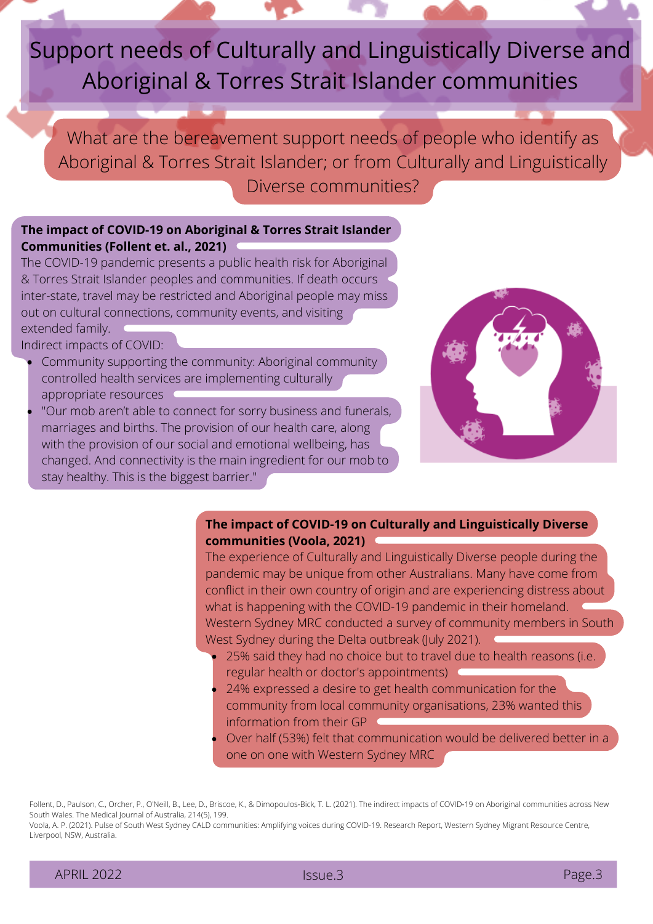## Support needs of Culturally and Linguistically Diverse and Aboriginal & Torres Strait Islander communities

What are the bereavement support needs of people who identify as Aboriginal & Torres Strait Islander; or from Culturally and Linguistically Diverse communities?

#### **The impact of COVID-19 on Aboriginal & Torres Strait Islander Communities (Follent et. al., 2021)**

The COVID-19 pandemic presents a public health risk for Aboriginal & Torres Strait Islander peoples and communities. If death occurs inter-state, travel may be restricted and Aboriginal people may miss out on cultural connections, community events, and visiting extended family.

Indirect impacts of COVID:

- Community supporting the community: Aboriginal community controlled health services are implementing culturally appropriate resources
- "Our mob aren't able to connect for sorry business and funerals, marriages and births. The provision of our health care, along with the provision of our social and emotional wellbeing, has changed. And connectivity is the main ingredient for our mob to stay healthy. This is the biggest barrier."



#### **The impact of COVID-19 on Culturally and Linguistically Diverse communities (Voola, 2021)**

The experience of Culturally and Linguistically Diverse people during the pandemic may be unique from other Australians. Many have come from conflict in their own country of origin and are experiencing distress about what is happening with the COVID-19 pandemic in their homeland. Western Sydney MRC conducted a survey of community members in South West Sydney during the Delta outbreak (July 2021).

- 25% said they had no choice but to travel due to health reasons (i.e. regular health or doctor's appointments)
- 24% expressed a desire to get health communication for the community from local community organisations, 23% wanted this information from their GP
- Over half (53%) felt that communication would be delivered better in a one on one with Western Sydney MRC

Follent, D., Paulson, C., Orcher, P., O'Neill, B., Lee, D., Briscoe, K., & Dimopoulos‐Bick, T. L. (2021). The indirect impacts of COVID‐19 on Aboriginal communities across New South Wales. The Medical Journal of Australia, 214(5), 199.

Voola, A. P. (2021). Pulse of South West Sydney CALD communities: Amplifying voices during COVID-19. Research Report, Western Sydney Migrant Resource Centre, Liverpool, NSW, Australia.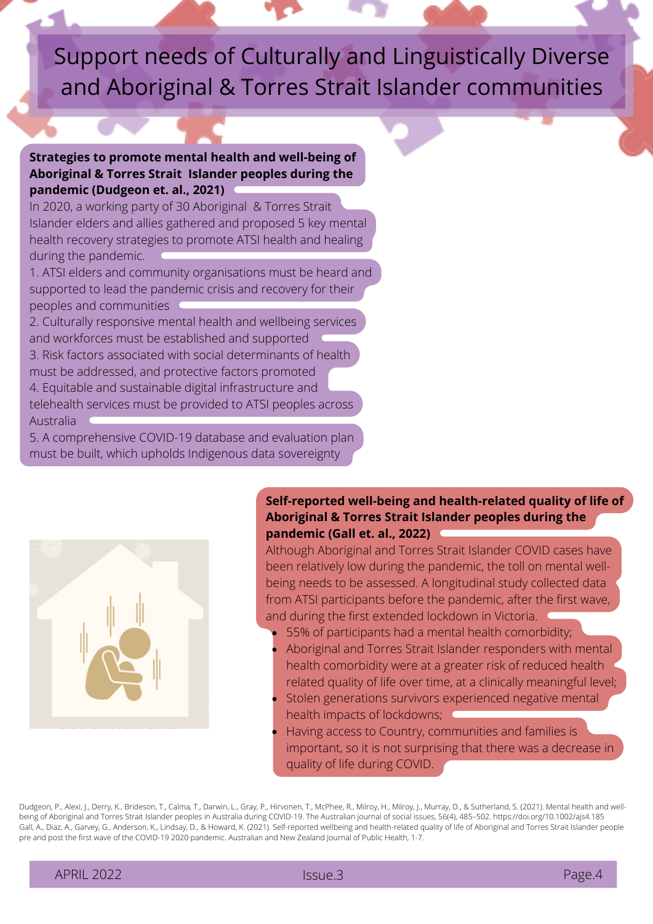## Support needs of Culturally and Linguistically Diverse and Aboriginal & Torres Strait Islander communities

#### **Strategies to promote mental health and well-being of Aboriginal & Torres Strait Islander peoples during the pandemic (Dudgeon et. al., 2021)**

In 2020, a working party of 30 Aboriginal & Torres Strait Islander elders and allies gathered and proposed 5 key mental health recovery strategies to promote ATSI health and healing during the pandemic.

1. ATSI elders and community organisations must be heard and supported to lead the pandemic crisis and recovery for their peoples and communities

2. Culturally responsive mental health and wellbeing services and workforces must be established and supported 3. Risk factors associated with social determinants of health must be addressed, and protective factors promoted

4. Equitable and sustainable digital infrastructure and

telehealth services must be provided to ATSI peoples across Australia

5. A comprehensive COVID-19 database and evaluation plan must be built, which upholds Indigenous data sovereignty



#### **Self-reported well-being and health-related quality of life of Aboriginal & Torres Strait Islander peoples during the pandemic (Gall et. al., 2022)**

Although Aboriginal and Torres Strait Islander COVID cases have been relatively low during the pandemic, the toll on mental wellbeing needs to be assessed. A longitudinal study collected data from ATSI participants before the pandemic, after the first wave, and during the first extended lockdown in Victoria.

- 55% of participants had a mental health comorbidity;
- Aboriginal and Torres Strait Islander responders with mental health comorbidity were at a greater risk of reduced health related quality of life over time, at a clinically meaningful level;
- Stolen generations survivors experienced negative mental health impacts of lockdowns;
- Having access to Country, communities and families is important, so it is not surprising that there was a decrease in quality of life during COVID.

Dudgeon, P., Alexi, J., Derry, K., Brideson, T., Calma, T., Darwin, L., Gray, P., Hirvonen, T., McPhee, R., Milroy, H., Milroy, J., Murray, D., & Sutherland, S. (2021). Mental health and wellbeing of Aboriginal and Torres Strait Islander peoples in Australia during COVID-19. The Australian journal of social issues, 56(4), 485–502. https://doi.org/10.1002/ajs4.185 Gall, A., Diaz, A., Garvey, G., Anderson, K., Lindsay, D., & Howard, K. (2021). Self-reported wellbeing and health-related quality of life of Aboriginal and Torres Strait Islander people pre and post the first wave of the COVID-19 2020 pandemic. Australian and New Zealand Journal of Public Health, 1-7.

APRIL 2022 **Issue.3 Page.4** Page.4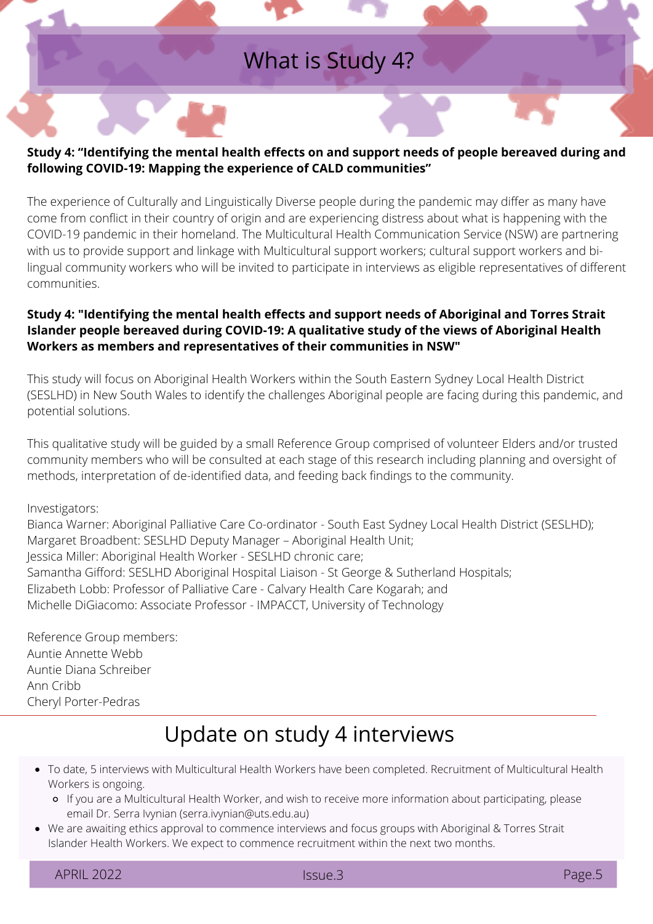### What is Study 4?

#### **Study 4: "Identifying the mental health effects on and support needs of people bereaved during and following COVID-19: Mapping the experience of CALD communities"**

The experience of Culturally and Linguistically Diverse people during the pandemic may differ as many have come from conflict in their country of origin and are experiencing distress about what is happening with the COVID-19 pandemic in their homeland. The Multicultural Health Communication Service (NSW) are partnering with us to provide support and linkage with Multicultural support workers; cultural support workers and bilingual community workers who will be invited to participate in interviews as eligible representatives of different communities.

#### **Study 4: "Identifying the mental health effects and support needs of Aboriginal and Torres Strait Islander people bereaved during COVID-19: A qualitative study of the views of Aboriginal Health Workers as members and representatives of their communities in NSW"**

This study will focus on Aboriginal Health Workers within the South Eastern Sydney Local Health District (SESLHD) in New South Wales to identify the challenges Aboriginal people are facing during this pandemic, and potential solutions.

This qualitative study will be guided by a small Reference Group comprised of volunteer Elders and/or trusted community members who will be consulted at each stage of this research including planning and oversight of methods, interpretation of de-identified data, and feeding back findings to the community.

#### Investigators:

Bianca Warner: Aboriginal Palliative Care Co-ordinator - South East Sydney Local Health District (SESLHD); Margaret Broadbent: SESLHD Deputy Manager – Aboriginal Health Unit; Jessica Miller: Aboriginal Health Worker - SESLHD chronic care; Samantha Gifford: SESLHD Aboriginal Hospital Liaison - St George & Sutherland Hospitals; Elizabeth Lobb: Professor of Palliative Care - Calvary Health Care Kogarah; and Michelle DiGiacomo: Associate Professor - IMPACCT, University of Technology

Reference Group members: Auntie Annette Webb Auntie Diana Schreiber Ann Cribb Cheryl Porter-Pedras

### Update on study 4 interviews

- To date, 5 interviews with Multicultural Health Workers have been completed. Recruitment of Multicultural Health Workers is ongoing.
	- If you are a Multicultural Health Worker, and wish to receive more information about participating, please email Dr. Serra Ivynian (serra.ivynian@uts.edu.au)
- We are awaiting ethics approval to commence interviews and focus groups with Aboriginal & Torres Strait Islander Health Workers. We expect to commence recruitment within the next two months.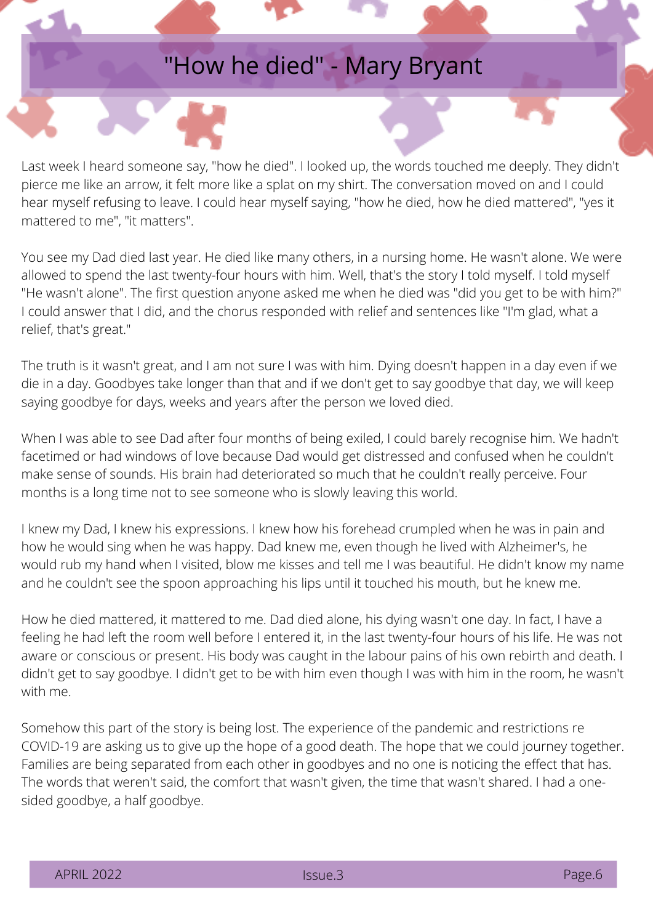## "How he died" - Mary Bryant

Last week I heard someone say, "how he died". I looked up, the words touched me deeply. They didn't pierce me like an arrow, it felt more like a splat on my shirt. The conversation moved on and I could hear myself refusing to leave. I could hear myself saying, "how he died, how he died mattered", "yes it mattered to me", "it matters".

You see my Dad died last year. He died like many others, in a nursing home. He wasn't alone. We were allowed to spend the last twenty-four hours with him. Well, that's the story I told myself. I told myself "He wasn't alone". The first question anyone asked me when he died was "did you get to be with him?" I could answer that I did, and the chorus responded with relief and sentences like "I'm glad, what a relief, that's great."

The truth is it wasn't great, and I am not sure I was with him. Dying doesn't happen in a day even if we die in a day. Goodbyes take longer than that and if we don't get to say goodbye that day, we will keep saying goodbye for days, weeks and years after the person we loved died.

When I was able to see Dad after four months of being exiled, I could barely recognise him. We hadn't facetimed or had windows of love because Dad would get distressed and confused when he couldn't make sense of sounds. His brain had deteriorated so much that he couldn't really perceive. Four months is a long time not to see someone who is slowly leaving this world.

I knew my Dad, I knew his expressions. I knew how his forehead crumpled when he was in pain and how he would sing when he was happy. Dad knew me, even though he lived with Alzheimer's, he would rub my hand when I visited, blow me kisses and tell me I was beautiful. He didn't know my name and he couldn't see the spoon approaching his lips until it touched his mouth, but he knew me.

How he died mattered, it mattered to me. Dad died alone, his dying wasn't one day. In fact, I have a feeling he had left the room well before I entered it, in the last twenty-four hours of his life. He was not aware or conscious or present. His body was caught in the labour pains of his own rebirth and death. I didn't get to say goodbye. I didn't get to be with him even though I was with him in the room, he wasn't with me.

Somehow this part of the story is being lost. The experience of the pandemic and restrictions re COVID-19 are asking us to give up the hope of a good death. The hope that we could journey together. Families are being separated from each other in goodbyes and no one is noticing the effect that has. The words that weren't said, the comfort that wasn't given, the time that wasn't shared. I had a onesided goodbye, a half goodbye.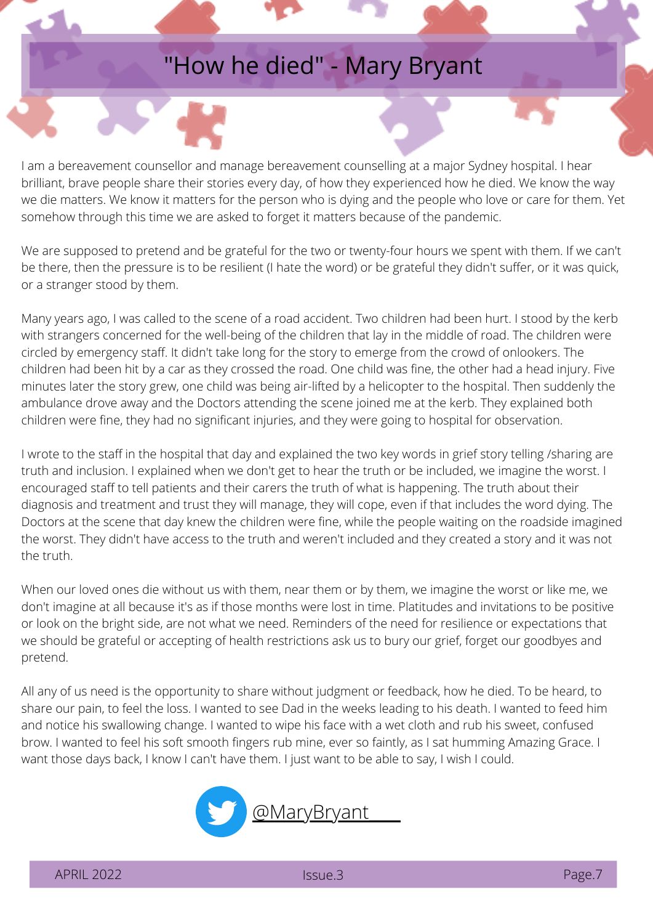## "How he died" - Mary Bryant

I am a bereavement counsellor and manage bereavement counselling at a major Sydney hospital. I hear brilliant, brave people share their stories every day, of how they experienced how he died. We know the way we die matters. We know it matters for the person who is dying and the people who love or care for them. Yet somehow through this time we are asked to forget it matters because of the pandemic.

We are supposed to pretend and be grateful for the two or twenty-four hours we spent with them. If we can't be there, then the pressure is to be resilient (I hate the word) or be grateful they didn't suffer, or it was quick, or a stranger stood by them.

Many years ago, I was called to the scene of a road accident. Two children had been hurt. I stood by the kerb with strangers concerned for the well-being of the children that lay in the middle of road. The children were circled by emergency staff. It didn't take long for the story to emerge from the crowd of onlookers. The children had been hit by a car as they crossed the road. One child was fine, the other had a head injury. Five minutes later the story grew, one child was being air-lifted by a helicopter to the hospital. Then suddenly the ambulance drove away and the Doctors attending the scene joined me at the kerb. They explained both children were fine, they had no significant injuries, and they were going to hospital for observation.

I wrote to the staff in the hospital that day and explained the two key words in grief story telling /sharing are truth and inclusion. I explained when we don't get to hear the truth or be included, we imagine the worst. I encouraged staff to tell patients and their carers the truth of what is happening. The truth about their diagnosis and treatment and trust they will manage, they will cope, even if that includes the word dying. The Doctors at the scene that day knew the children were fine, while the people waiting on the roadside imagined the worst. They didn't have access to the truth and weren't included and they created a story and it was not the truth.

When our loved ones die without us with them, near them or by them, we imagine the worst or like me, we don't imagine at all because it's as if those months were lost in time. Platitudes and invitations to be positive or look on the bright side, are not what we need. Reminders of the need for resilience or expectations that we should be grateful or accepting of health restrictions ask us to bury our grief, forget our goodbyes and pretend.

All any of us need is the opportunity to share without judgment or feedback, how he died. To be heard, to share our pain, to feel the loss. I wanted to see Dad in the weeks leading to his death. I wanted to feed him and notice his swallowing change. I wanted to wipe his face with a wet cloth and rub his sweet, confused brow. I wanted to feel his soft smooth fingers rub mine, ever so faintly, as I sat humming Amazing Grace. I want those days back, I know I can't have them. I just want to be able to say, I wish I could.

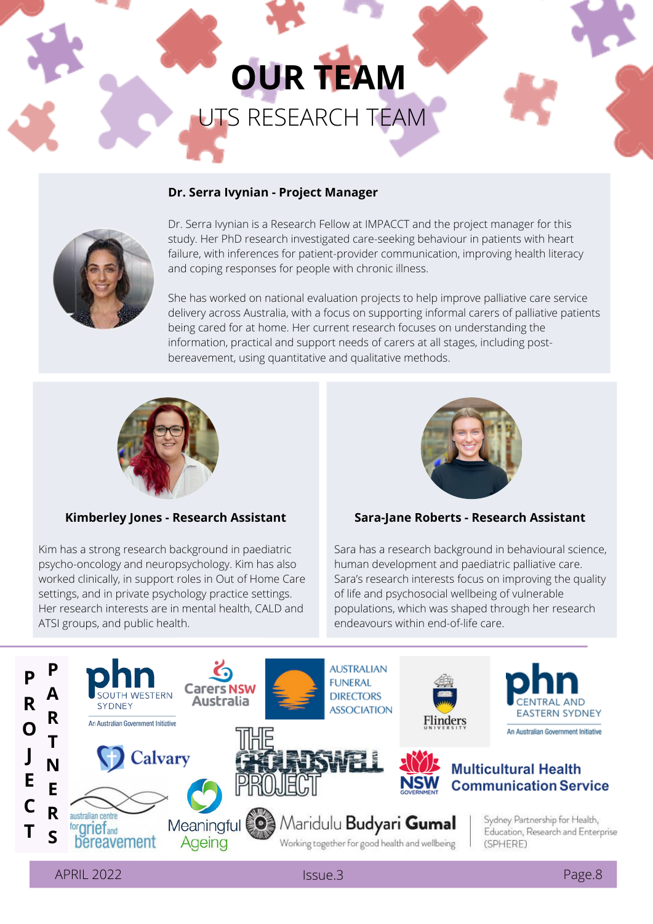## **OUR TEAM** UTS RESEARCH TEAM

#### **Dr. Serra Ivynian - Project Manager**



Dr. Serra Ivynian is a Research Fellow at IMPACCT and the project manager for this study. Her PhD research investigated care-seeking behaviour in patients with heart failure, with inferences for [patient-provider](https://www.researchgate.net/profile/Serra-Ivynian) communication, improving health literacy and coping responses for people with chronic illness.

She has worked on national evaluation projects to help improve palliative care service delivery across Australia, with a focus on supporting informal carers of palliative patients being cared for at home. Her current research focuses on [understanding](https://www.researchgate.net/profile/Serra-Ivynian) the information, practical and support needs of carers at all stages, including postbereavement, using quantitative and qualitative methods.



#### **Kimberley Jones - Research Assistant**

Kim has a strong research background in paediatric psycho-oncology and neuropsychology. Kim has also worked clinically, in support roles in Out of Home Care settings, and in private psychology practice settings. Her research interests are in mental health, CALD and ATSI groups, and public health.



#### **Sara-Jane Roberts - Research Assistant**

Sara has a research background in behavioural science, human development and paediatric palliative care. Sara's research interests focus on improving the quality of life and psychosocial wellbeing of vulnerable populations, which was shaped through her research endeavours within end-of-life care.